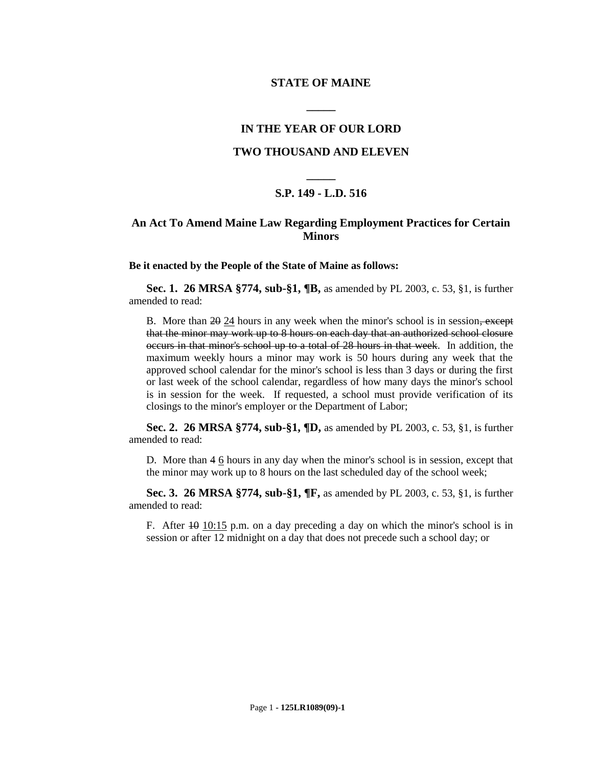#### **STATE OF MAINE**

### **IN THE YEAR OF OUR LORD**

**\_\_\_\_\_**

### **TWO THOUSAND AND ELEVEN**

# **\_\_\_\_\_ S.P. 149 - L.D. 516**

## **An Act To Amend Maine Law Regarding Employment Practices for Certain Minors**

**Be it enacted by the People of the State of Maine as follows:**

**Sec. 1. 26 MRSA §774, sub-§1, ¶B,** as amended by PL 2003, c. 53, §1, is further amended to read:

B. More than 20 24 hours in any week when the minor's school is in session, except that the minor may work up to 8 hours on each day that an authorized school closure occurs in that minor's school up to a total of 28 hours in that week. In addition, the maximum weekly hours a minor may work is 50 hours during any week that the approved school calendar for the minor's school is less than 3 days or during the first or last week of the school calendar, regardless of how many days the minor's school is in session for the week. If requested, a school must provide verification of its closings to the minor's employer or the Department of Labor;

**Sec. 2. 26 MRSA §774, sub-§1, ¶D,** as amended by PL 2003, c. 53, §1, is further amended to read:

D. More than 4 6 hours in any day when the minor's school is in session, except that the minor may work up to 8 hours on the last scheduled day of the school week;

**Sec. 3. 26 MRSA §774, sub-§1, ¶F,** as amended by PL 2003, c. 53, §1, is further amended to read:

F. After  $\overline{10}$  10:15 p.m. on a day preceding a day on which the minor's school is in session or after 12 midnight on a day that does not precede such a school day; or